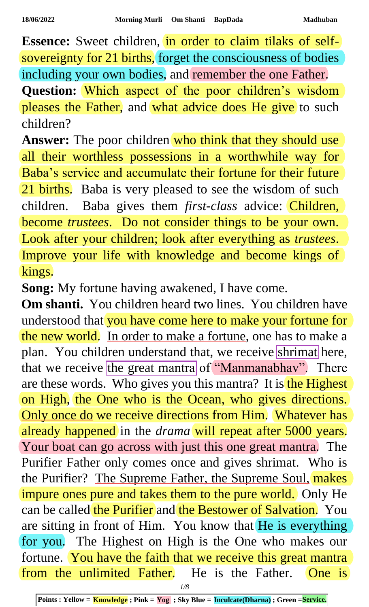**Essence:** Sweet children, in order to claim tilaks of selfsovereignty for 21 births, forget the consciousness of bodies including your own bodies, and remember the one Father. **Question:** Which aspect of the poor children's wisdom pleases the Father, and what advice does He give to such children?

**Answer:** The poor children who think that they should use all their worthless possessions in a worthwhile way for Baba's service and accumulate their fortune for their future 21 births. Baba is very pleased to see the wisdom of such children. Baba gives them *first-class* advice: Children, become *trustees*. Do not consider things to be your own. Look after your children; look after everything as *trustees*. Improve your life with knowledge and become kings of kings.

**Song:** My fortune having awakened, I have come.

**Om shanti.** You children heard two lines. You children have understood that you have come here to make your fortune for the new world. In order to make a fortune, one has to make a plan. You children understand that, we receive shrimat here, that we receive the great mantra of "Manmanabhav". There are these words. Who gives you this mantra? It is the Highest on High, the One who is the Ocean, who gives directions. Only once do we receive directions from Him. Whatever has already happened in the *drama* will repeat after 5000 years. Your boat can go across with just this one great mantra. The Purifier Father only comes once and gives shrimat. Who is the Purifier? The Supreme Father, the Supreme Soul, makes impure ones pure and takes them to the pure world. Only He can be called the Purifier and the Bestower of Salvation. You are sitting in front of Him. You know that He is everything for you. The Highest on High is the One who makes our fortune. You have the faith that we receive this great mantra from the unlimited Father. He is the Father. One is

*1/8*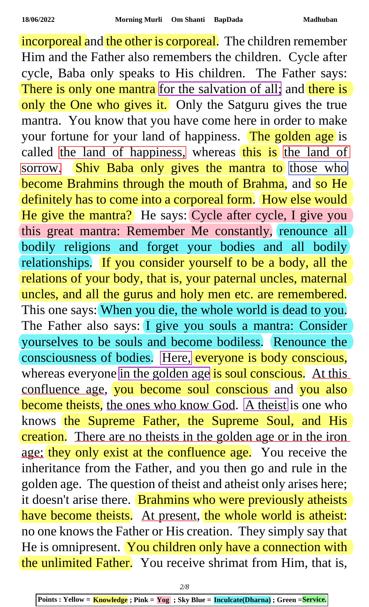incorporeal and the other is corporeal. The children remember Him and the Father also remembers the children. Cycle after cycle, Baba only speaks to His children. The Father says: There is only one mantra for the salvation of all; and there is only the One who gives it. Only the Satguru gives the true mantra. You know that you have come here in order to make your fortune for your land of happiness. The golden age is called the land of happiness, whereas this is the land of sorrow. Shiv Baba only gives the mantra to those who become Brahmins through the mouth of Brahma, and so He definitely has to come into a corporeal form. How else would He give the mantra? He says: Cycle after cycle, I give you this great mantra: Remember Me constantly, renounce all bodily religions and forget your bodies and all bodily relationships. If you consider yourself to be a body, all the relations of your body, that is, your paternal uncles, maternal uncles, and all the gurus and holy men etc. are remembered. This one says: When you die, the whole world is dead to you. The Father also says: I give you souls a mantra: Consider yourselves to be souls and become bodiless. Renounce the consciousness of bodies. Here, everyone is body conscious, whereas everyone in the golden age is soul conscious. At this confluence age, you become soul conscious and you also become theists, the ones who know God. A theist is one who knows the Supreme Father, the Supreme Soul, and His creation. There are no theists in the golden age or in the iron age; they only exist at the confluence age. You receive the inheritance from the Father, and you then go and rule in the golden age. The question of theist and atheist only arises here; it doesn't arise there. Brahmins who were previously atheists have become theists. At present, the whole world is atheist: no one knows the Father or His creation. They simply say that He is omnipresent. You children only have a connection with the unlimited Father. You receive shrimat from Him, that is,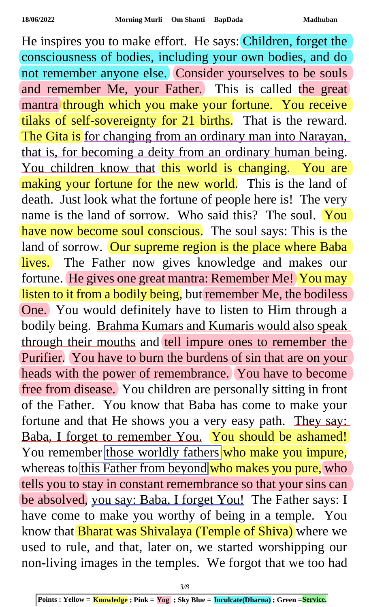He inspires you to make effort. He says: Children, forget the consciousness of bodies, including your own bodies, and do not remember anyone else. Consider yourselves to be souls and remember Me, your Father. This is called the great mantra through which you make your fortune. You receive tilaks of self-sovereignty for 21 births. That is the reward. The Gita is for changing from an ordinary man into Narayan, that is, for becoming a deity from an ordinary human being. You children know that this world is changing. You are making your fortune for the new world. This is the land of death. Just look what the fortune of people here is! The very name is the land of sorrow. Who said this? The soul. You have now become soul conscious. The soul says: This is the land of sorrow. Our supreme region is the place where Baba lives. The Father now gives knowledge and makes our fortune. He gives one great mantra: Remember Me! You may listen to it from a bodily being, but remember Me, the bodiless One. You would definitely have to listen to Him through a bodily being. Brahma Kumars and Kumaris would also speak through their mouths and tell impure ones to remember the Purifier. You have to burn the burdens of sin that are on your heads with the power of remembrance. You have to become free from disease. You children are personally sitting in front of the Father. You know that Baba has come to make your fortune and that He shows you a very easy path. They say: Baba, I forget to remember You. You should be ashamed! You remember those worldly fathers who make you impure, whereas to this Father from beyond who makes you pure, who tells you to stay in constant remembrance so that your sins can be absolved, you say: Baba, I forget You! The Father says: I have come to make you worthy of being in a temple. You know that Bharat was Shivalaya (Temple of Shiva) where we used to rule, and that, later on, we started worshipping our non-living images in the temples. We forgot that we too had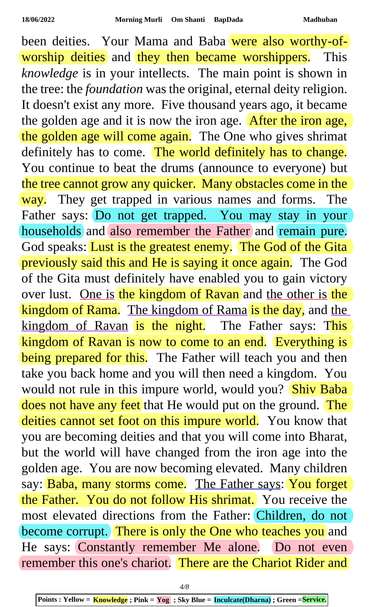been deities. Your Mama and Baba were also worthy-ofworship deities and they then became worshippers. This *knowledge* is in your intellects. The main point is shown in the tree: the *foundation* was the original, eternal deity religion. It doesn't exist any more. Five thousand years ago, it became the golden age and it is now the iron age. After the iron age, the golden age will come again. The One who gives shrimat definitely has to come. The world definitely has to change. You continue to beat the drums (announce to everyone) but the tree cannot grow any quicker. Many obstacles come in the way. They get trapped in various names and forms. The Father says: Do not get trapped. You may stay in your households and also remember the Father and remain pure. God speaks: Lust is the greatest enemy. The God of the Gita previously said this and He is saying it once again. The God of the Gita must definitely have enabled you to gain victory over lust. One is the kingdom of Ravan and the other is the kingdom of Rama. The kingdom of Rama is the day, and the kingdom of Ravan is the night. The Father says: This kingdom of Ravan is now to come to an end. Everything is being prepared for this. The Father will teach you and then take you back home and you will then need a kingdom. You would not rule in this impure world, would you? Shiv Baba does not have any feet that He would put on the ground. The deities cannot set foot on this impure world. You know that you are becoming deities and that you will come into Bharat, but the world will have changed from the iron age into the golden age. You are now becoming elevated. Many children say: Baba, many storms come. The Father says: You forget the Father. You do not follow His shrimat. You receive the most elevated directions from the Father: Children, do not become corrupt. There is only the One who teaches you and He says: Constantly remember Me alone. Do not even remember this one's chariot. There are the Chariot Rider and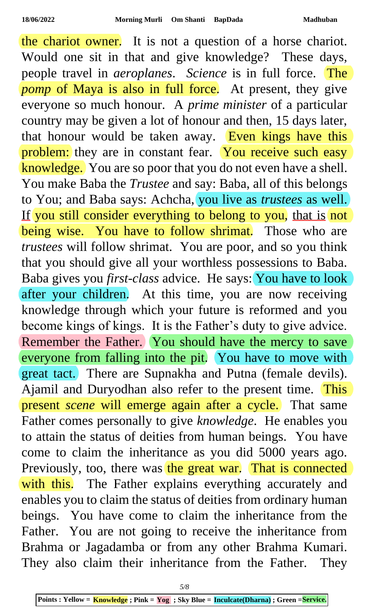the chariot owner. It is not a question of a horse chariot. Would one sit in that and give knowledge? These days, people travel in *aeroplanes*. *Science* is in full force. The *pomp* of Maya is also in full force. At present, they give everyone so much honour. A *prime minister* of a particular country may be given a lot of honour and then, 15 days later, that honour would be taken away. Even kings have this problem: they are in constant fear. You receive such easy knowledge. You are so poor that you do not even have a shell. You make Baba the *Trustee* and say: Baba, all of this belongs to You; and Baba says: Achcha, you live as *trustees* as well. If you still consider everything to belong to you, that is not being wise. You have to follow shrimat. Those who are *trustees* will follow shrimat. You are poor, and so you think that you should give all your worthless possessions to Baba. Baba gives you *first-class* advice. He says: You have to look after your children. At this time, you are now receiving knowledge through which your future is reformed and you become kings of kings. It is the Father's duty to give advice. Remember the Father. You should have the mercy to save everyone from falling into the pit. You have to move with great tact. There are Supnakha and Putna (female devils). Ajamil and Duryodhan also refer to the present time. This present *scene* will emerge again after a cycle. That same Father comes personally to give *knowledge*. He enables you to attain the status of deities from human beings. You have come to claim the inheritance as you did 5000 years ago. Previously, too, there was the great war. That is connected with this. The Father explains everything accurately and enables you to claim the status of deities from ordinary human beings. You have come to claim the inheritance from the Father. You are not going to receive the inheritance from Brahma or Jagadamba or from any other Brahma Kumari. They also claim their inheritance from the Father. They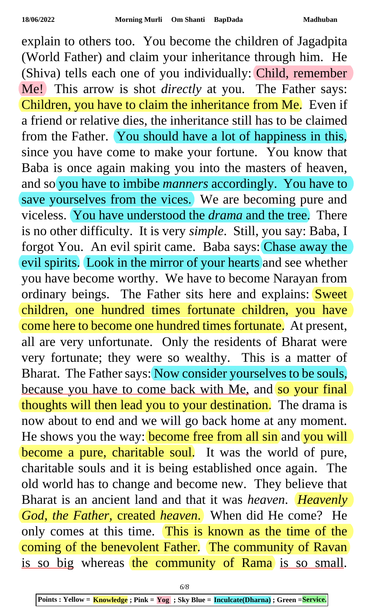explain to others too. You become the children of Jagadpita (World Father) and claim your inheritance through him. He (Shiva) tells each one of you individually: Child, remember Me! This arrow is shot *directly* at you. The Father says: Children, you have to claim the inheritance from Me. Even if a friend or relative dies, the inheritance still has to be claimed from the Father. You should have a lot of happiness in this, since you have come to make your fortune. You know that Baba is once again making you into the masters of heaven, and so you have to imbibe *manners* accordingly. You have to save yourselves from the vices. We are becoming pure and viceless. You have understood the *drama* and the tree. There is no other difficulty. It is very *simple*. Still, you say: Baba, I forgot You. An evil spirit came. Baba says: Chase away the evil spirits. Look in the mirror of your hearts and see whether you have become worthy. We have to become Narayan from ordinary beings. The Father sits here and explains: Sweet children, one hundred times fortunate children, you have come here to become one hundred times fortunate. At present, all are very unfortunate. Only the residents of Bharat were very fortunate; they were so wealthy. This is a matter of Bharat. The Father says: Now consider yourselves to be souls, because you have to come back with Me, and so your final thoughts will then lead you to your destination. The drama is now about to end and we will go back home at any moment. He shows you the way: **become free from all sin** and you will become a pure, charitable soul. It was the world of pure, charitable souls and it is being established once again. The old world has to change and become new. They believe that Bharat is an ancient land and that it was *heaven*. *Heavenly God, the Father,* created *heaven*. When did He come? He only comes at this time. This is known as the time of the coming of the benevolent Father. The community of Ravan is so big whereas the community of Rama is so small.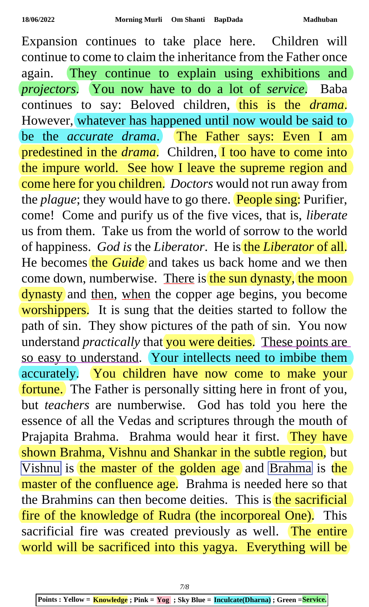Expansion continues to take place here. Children will continue to come to claim the inheritance from the Father once again. They continue to explain using exhibitions and *projectors*. You now have to do a lot of *service*. Baba continues to say: Beloved children, this is the *drama*. However, whatever has happened until now would be said to be the *accurate drama*. The Father says: Even I am predestined in the *drama*. Children, I too have to come into the impure world. See how I leave the supreme region and come here for you children. *Doctors* would not run away from the *plague*; they would have to go there. People sing: Purifier, come! Come and purify us of the five vices, that is, *liberate* us from them. Take us from the world of sorrow to the world of happiness. *God is* the *Liberator*. He is the *Liberator* of all. He becomes the *Guide* and takes us back home and we then come down, numberwise. There is the sun dynasty, the moon dynasty and then, when the copper age begins, you become worshippers. It is sung that the deities started to follow the path of sin. They show pictures of the path of sin. You now understand *practically* that you were deities. These points are so easy to understand. Your intellects need to imbibe them accurately. You children have now come to make your fortune. The Father is personally sitting here in front of you, but *teachers* are numberwise. God has told you here the essence of all the Vedas and scriptures through the mouth of Prajapita Brahma. Brahma would hear it first. They have shown Brahma, Vishnu and Shankar in the subtle region, but Vishnu is the master of the golden age and Brahma is the master of the confluence age. Brahma is needed here so that the Brahmins can then become deities. This is the sacrificial fire of the knowledge of Rudra (the incorporeal One). This sacrificial fire was created previously as well. The entire world will be sacrificed into this yagya. Everything will be